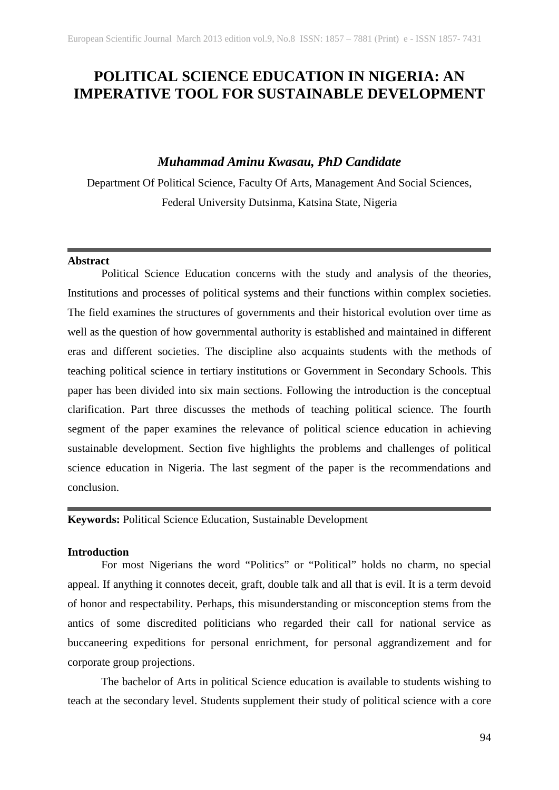# **POLITICAL SCIENCE EDUCATION IN NIGERIA: AN IMPERATIVE TOOL FOR SUSTAINABLE DEVELOPMENT**

## *Muhammad Aminu Kwasau, PhD Candidate*

Department Of Political Science, Faculty Of Arts, Management And Social Sciences, Federal University Dutsinma, Katsina State, Nigeria

#### **Abstract**

Political Science Education concerns with the study and analysis of the theories, Institutions and processes of political systems and their functions within complex societies. The field examines the structures of governments and their historical evolution over time as well as the question of how governmental authority is established and maintained in different eras and different societies. The discipline also acquaints students with the methods of teaching political science in tertiary institutions or Government in Secondary Schools. This paper has been divided into six main sections. Following the introduction is the conceptual clarification. Part three discusses the methods of teaching political science. The fourth segment of the paper examines the relevance of political science education in achieving sustainable development. Section five highlights the problems and challenges of political science education in Nigeria. The last segment of the paper is the recommendations and conclusion.

**Keywords:** Political Science Education, Sustainable Development

### **Introduction**

For most Nigerians the word "Politics" or "Political" holds no charm, no special appeal. If anything it connotes deceit, graft, double talk and all that is evil. It is a term devoid of honor and respectability. Perhaps, this misunderstanding or misconception stems from the antics of some discredited politicians who regarded their call for national service as buccaneering expeditions for personal enrichment, for personal aggrandizement and for corporate group projections.

The bachelor of Arts in political Science education is available to students wishing to teach at the secondary level. Students supplement their study of political science with a core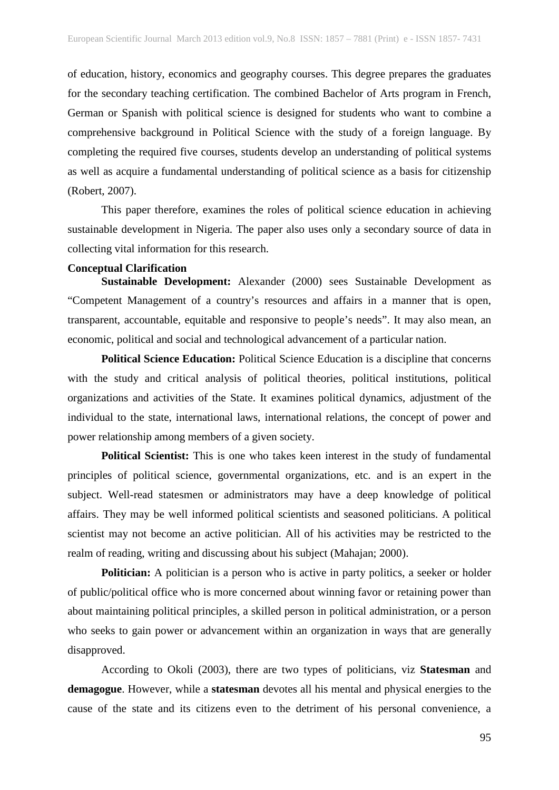of education, history, economics and geography courses. This degree prepares the graduates for the secondary teaching certification. The combined Bachelor of Arts program in French, German or Spanish with political science is designed for students who want to combine a comprehensive background in Political Science with the study of a foreign language. By completing the required five courses, students develop an understanding of political systems as well as acquire a fundamental understanding of political science as a basis for citizenship (Robert, 2007).

This paper therefore, examines the roles of political science education in achieving sustainable development in Nigeria. The paper also uses only a secondary source of data in collecting vital information for this research.

## **Conceptual Clarification**

**Sustainable Development:** Alexander (2000) sees Sustainable Development as "Competent Management of a country's resources and affairs in a manner that is open, transparent, accountable, equitable and responsive to people's needs". It may also mean, an economic, political and social and technological advancement of a particular nation.

**Political Science Education:** Political Science Education is a discipline that concerns with the study and critical analysis of political theories, political institutions, political organizations and activities of the State. It examines political dynamics, adjustment of the individual to the state, international laws, international relations, the concept of power and power relationship among members of a given society.

**Political Scientist:** This is one who takes keen interest in the study of fundamental principles of political science, governmental organizations, etc. and is an expert in the subject. Well-read statesmen or administrators may have a deep knowledge of political affairs. They may be well informed political scientists and seasoned politicians. A political scientist may not become an active politician. All of his activities may be restricted to the realm of reading, writing and discussing about his subject (Mahajan; 2000).

**Politician:** A politician is a person who is active in party politics, a seeker or holder of public/political office who is more concerned about winning favor or retaining power than about maintaining political principles, a skilled person in political administration, or a person who seeks to gain power or advancement within an organization in ways that are generally disapproved.

According to Okoli (2003), there are two types of politicians, viz **Statesman** and **demagogue**. However, while a **statesman** devotes all his mental and physical energies to the cause of the state and its citizens even to the detriment of his personal convenience, a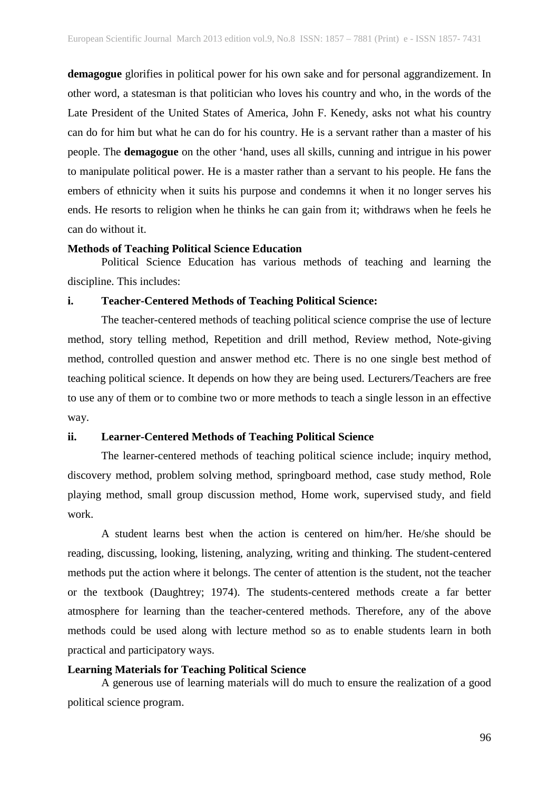**demagogue** glorifies in political power for his own sake and for personal aggrandizement. In other word, a statesman is that politician who loves his country and who, in the words of the Late President of the United States of America, John F. Kenedy, asks not what his country can do for him but what he can do for his country. He is a servant rather than a master of his people. The **demagogue** on the other 'hand, uses all skills, cunning and intrigue in his power to manipulate political power. He is a master rather than a servant to his people. He fans the embers of ethnicity when it suits his purpose and condemns it when it no longer serves his ends. He resorts to religion when he thinks he can gain from it; withdraws when he feels he can do without it.

#### **Methods of Teaching Political Science Education**

Political Science Education has various methods of teaching and learning the discipline. This includes:

#### **i. Teacher-Centered Methods of Teaching Political Science:**

The teacher-centered methods of teaching political science comprise the use of lecture method, story telling method, Repetition and drill method, Review method, Note-giving method, controlled question and answer method etc. There is no one single best method of teaching political science. It depends on how they are being used. Lecturers/Teachers are free to use any of them or to combine two or more methods to teach a single lesson in an effective way.

#### **ii. Learner-Centered Methods of Teaching Political Science**

The learner-centered methods of teaching political science include; inquiry method, discovery method, problem solving method, springboard method, case study method, Role playing method, small group discussion method, Home work, supervised study, and field work.

A student learns best when the action is centered on him/her. He/she should be reading, discussing, looking, listening, analyzing, writing and thinking. The student-centered methods put the action where it belongs. The center of attention is the student, not the teacher or the textbook (Daughtrey; 1974). The students-centered methods create a far better atmosphere for learning than the teacher-centered methods. Therefore, any of the above methods could be used along with lecture method so as to enable students learn in both practical and participatory ways.

#### **Learning Materials for Teaching Political Science**

A generous use of learning materials will do much to ensure the realization of a good political science program.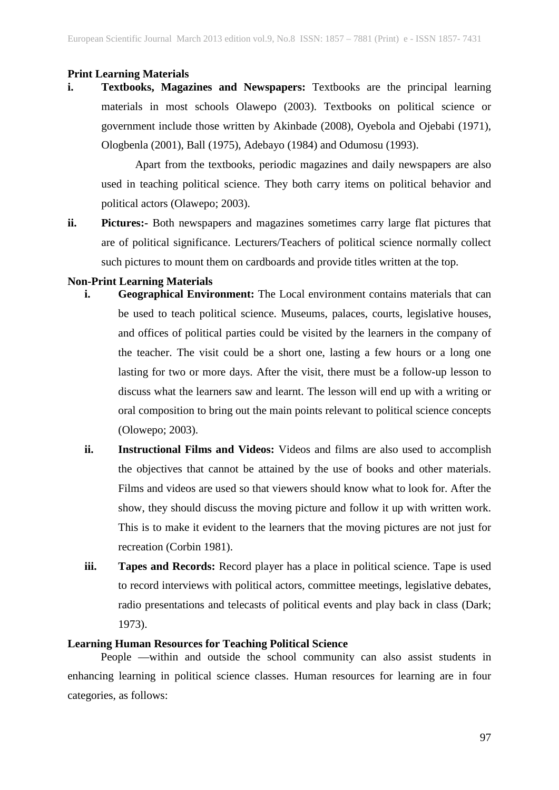#### **Print Learning Materials**

**i. Textbooks, Magazines and Newspapers:** Textbooks are the principal learning materials in most schools Olawepo (2003). Textbooks on political science or government include those written by Akinbade (2008), Oyebola and Ojebabi (1971), Ologbenla (2001), Ball (1975), Adebayo (1984) and Odumosu (1993).

Apart from the textbooks, periodic magazines and daily newspapers are also used in teaching political science. They both carry items on political behavior and political actors (Olawepo; 2003).

**ii. Pictures:-** Both newspapers and magazines sometimes carry large flat pictures that are of political significance. Lecturers/Teachers of political science normally collect such pictures to mount them on cardboards and provide titles written at the top.

#### **Non-Print Learning Materials**

- **i. Geographical Environment:** The Local environment contains materials that can be used to teach political science. Museums, palaces, courts, legislative houses, and offices of political parties could be visited by the learners in the company of the teacher. The visit could be a short one, lasting a few hours or a long one lasting for two or more days. After the visit, there must be a follow-up lesson to discuss what the learners saw and learnt. The lesson will end up with a writing or oral composition to bring out the main points relevant to political science concepts (Olowepo; 2003).
- **ii. Instructional Films and Videos:** Videos and films are also used to accomplish the objectives that cannot be attained by the use of books and other materials. Films and videos are used so that viewers should know what to look for. After the show, they should discuss the moving picture and follow it up with written work. This is to make it evident to the learners that the moving pictures are not just for recreation (Corbin 1981).
- **iii. Tapes and Records:** Record player has a place in political science. Tape is used to record interviews with political actors, committee meetings, legislative debates, radio presentations and telecasts of political events and play back in class (Dark; 1973).

#### **Learning Human Resources for Teaching Political Science**

People —within and outside the school community can also assist students in enhancing learning in political science classes. Human resources for learning are in four categories, as follows: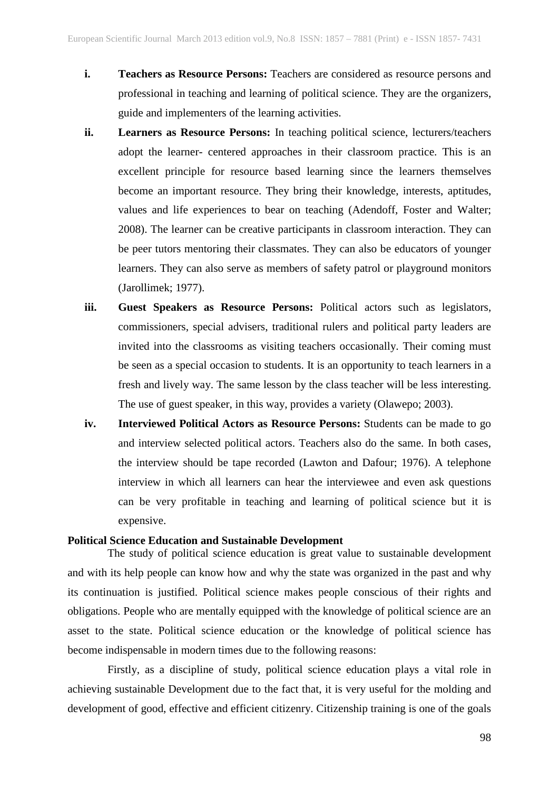- **i. Teachers as Resource Persons:** Teachers are considered as resource persons and professional in teaching and learning of political science. They are the organizers, guide and implementers of the learning activities.
- **ii. Learners as Resource Persons:** In teaching political science, lecturers/teachers adopt the learner- centered approaches in their classroom practice. This is an excellent principle for resource based learning since the learners themselves become an important resource. They bring their knowledge, interests, aptitudes, values and life experiences to bear on teaching (Adendoff, Foster and Walter; 2008). The learner can be creative participants in classroom interaction. They can be peer tutors mentoring their classmates. They can also be educators of younger learners. They can also serve as members of safety patrol or playground monitors (Jarollimek; 1977).
- **iii. Guest Speakers as Resource Persons:** Political actors such as legislators, commissioners, special advisers, traditional rulers and political party leaders are invited into the classrooms as visiting teachers occasionally. Their coming must be seen as a special occasion to students. It is an opportunity to teach learners in a fresh and lively way. The same lesson by the class teacher will be less interesting. The use of guest speaker, in this way, provides a variety (Olawepo; 2003).
- **iv. Interviewed Political Actors as Resource Persons:** Students can be made to go and interview selected political actors. Teachers also do the same. In both cases, the interview should be tape recorded (Lawton and Dafour; 1976). A telephone interview in which all learners can hear the interviewee and even ask questions can be very profitable in teaching and learning of political science but it is expensive.

#### **Political Science Education and Sustainable Development**

The study of political science education is great value to sustainable development and with its help people can know how and why the state was organized in the past and why its continuation is justified. Political science makes people conscious of their rights and obligations. People who are mentally equipped with the knowledge of political science are an asset to the state. Political science education or the knowledge of political science has become indispensable in modern times due to the following reasons:

Firstly, as a discipline of study, political science education plays a vital role in achieving sustainable Development due to the fact that, it is very useful for the molding and development of good, effective and efficient citizenry. Citizenship training is one of the goals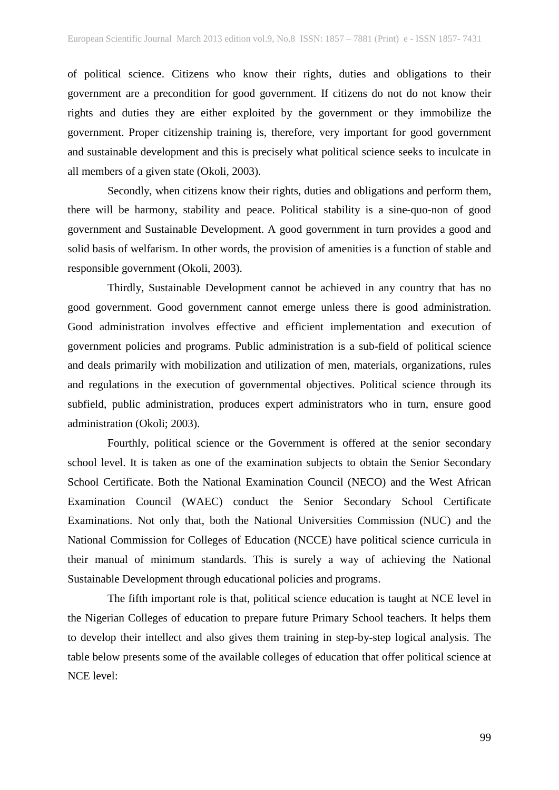of political science. Citizens who know their rights, duties and obligations to their government are a precondition for good government. If citizens do not do not know their rights and duties they are either exploited by the government or they immobilize the government. Proper citizenship training is, therefore, very important for good government and sustainable development and this is precisely what political science seeks to inculcate in all members of a given state (Okoli, 2003).

Secondly, when citizens know their rights, duties and obligations and perform them, there will be harmony, stability and peace. Political stability is a sine-quo-non of good government and Sustainable Development. A good government in turn provides a good and solid basis of welfarism. In other words, the provision of amenities is a function of stable and responsible government (Okoli, 2003).

Thirdly, Sustainable Development cannot be achieved in any country that has no good government. Good government cannot emerge unless there is good administration. Good administration involves effective and efficient implementation and execution of government policies and programs. Public administration is a sub-field of political science and deals primarily with mobilization and utilization of men, materials, organizations, rules and regulations in the execution of governmental objectives. Political science through its subfield, public administration, produces expert administrators who in turn, ensure good administration (Okoli; 2003).

Fourthly, political science or the Government is offered at the senior secondary school level. It is taken as one of the examination subjects to obtain the Senior Secondary School Certificate. Both the National Examination Council (NECO) and the West African Examination Council (WAEC) conduct the Senior Secondary School Certificate Examinations. Not only that, both the National Universities Commission (NUC) and the National Commission for Colleges of Education (NCCE) have political science curricula in their manual of minimum standards. This is surely a way of achieving the National Sustainable Development through educational policies and programs.

The fifth important role is that, political science education is taught at NCE level in the Nigerian Colleges of education to prepare future Primary School teachers. It helps them to develop their intellect and also gives them training in step-by-step logical analysis. The table below presents some of the available colleges of education that offer political science at NCE level: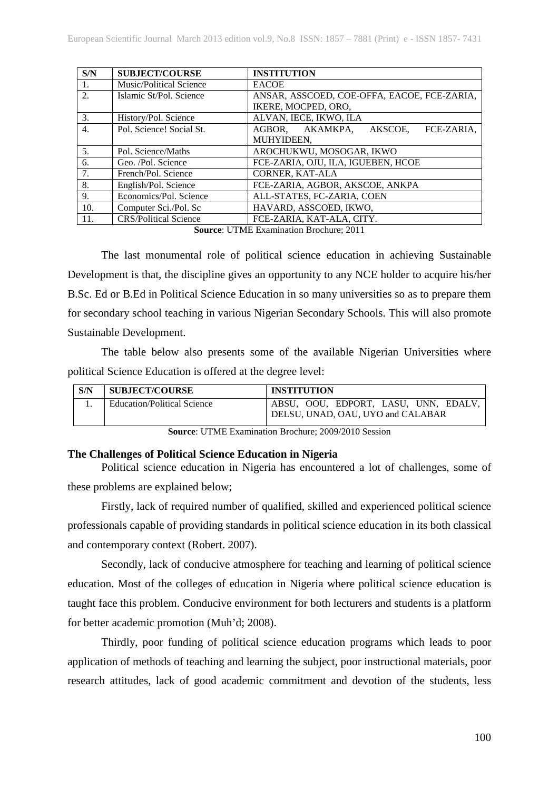| S/N              | <b>SUBJECT/COURSE</b>        | <b>INSTITUTION</b>                          |
|------------------|------------------------------|---------------------------------------------|
| -1.              | Music/Political Science      | <b>EACOE</b>                                |
| 2.               | Islamic St/Pol. Science      | ANSAR, ASSCOED, COE-OFFA, EACOE, FCE-ZARIA, |
|                  |                              | IKERE, MOCPED, ORO,                         |
| 3.               | History/Pol. Science         | ALVAN, IECE, IKWO, ILA                      |
| $\overline{4}$ . | Pol. Science! Social St.     | AGBOR, AKAMKPA,<br>AKSCOE.<br>FCE-ZARIA.    |
|                  |                              | MUHYIDEEN.                                  |
| 5 <sub>1</sub>   | Pol. Science/Maths           | AROCHUKWU, MOSOGAR, IKWO                    |
| 6.               | Geo. /Pol. Science           | FCE-ZARIA, OJU, ILA, IGUEBEN, HCOE          |
| 7.               | French/Pol. Science          | <b>CORNER, KAT-ALA</b>                      |
| 8.               | English/Pol. Science         | FCE-ZARIA, AGBOR, AKSCOE, ANKPA             |
| 9.               | Economics/Pol. Science       | ALL-STATES, FC-ZARIA, COEN                  |
| 10.              | Computer Sci./Pol. Sc        | HAVARD, ASSCOED, IKWO,                      |
| 11.              | <b>CRS/Political Science</b> | FCE-ZARIA, KAT-ALA, CITY.                   |

**Source**: UTME Examination Brochure; 2011

The last monumental role of political science education in achieving Sustainable Development is that, the discipline gives an opportunity to any NCE holder to acquire his/her B.Sc. Ed or B.Ed in Political Science Education in so many universities so as to prepare them for secondary school teaching in various Nigerian Secondary Schools. This will also promote Sustainable Development.

The table below also presents some of the available Nigerian Universities where political Science Education is offered at the degree level:

| S/N | <b>SUBJECT/COURSE</b>              | <b>INSTITUTION</b>                                                        |
|-----|------------------------------------|---------------------------------------------------------------------------|
|     | <b>Education/Political Science</b> | ABSU, OOU, EDPORT, LASU, UNN, EDALV,<br>DELSU, UNAD, OAU, UYO and CALABAR |

**Source**: UTME Examination Brochure; 2009/2010 Session

## **The Challenges of Political Science Education in Nigeria**

Political science education in Nigeria has encountered a lot of challenges, some of these problems are explained below;

Firstly, lack of required number of qualified, skilled and experienced political science professionals capable of providing standards in political science education in its both classical and contemporary context (Robert. 2007).

Secondly, lack of conducive atmosphere for teaching and learning of political science education. Most of the colleges of education in Nigeria where political science education is taught face this problem. Conducive environment for both lecturers and students is a platform for better academic promotion (Muh'd; 2008).

Thirdly, poor funding of political science education programs which leads to poor application of methods of teaching and learning the subject, poor instructional materials, poor research attitudes, lack of good academic commitment and devotion of the students, less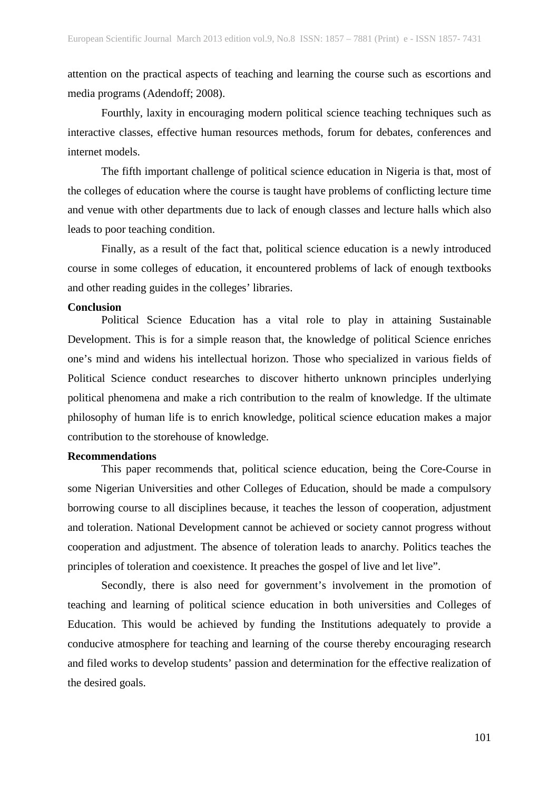attention on the practical aspects of teaching and learning the course such as escortions and media programs (Adendoff; 2008).

Fourthly, laxity in encouraging modern political science teaching techniques such as interactive classes, effective human resources methods, forum for debates, conferences and internet models.

The fifth important challenge of political science education in Nigeria is that, most of the colleges of education where the course is taught have problems of conflicting lecture time and venue with other departments due to lack of enough classes and lecture halls which also leads to poor teaching condition.

Finally, as a result of the fact that, political science education is a newly introduced course in some colleges of education, it encountered problems of lack of enough textbooks and other reading guides in the colleges' libraries.

#### **Conclusion**

Political Science Education has a vital role to play in attaining Sustainable Development. This is for a simple reason that, the knowledge of political Science enriches one's mind and widens his intellectual horizon. Those who specialized in various fields of Political Science conduct researches to discover hitherto unknown principles underlying political phenomena and make a rich contribution to the realm of knowledge. If the ultimate philosophy of human life is to enrich knowledge, political science education makes a major contribution to the storehouse of knowledge.

#### **Recommendations**

This paper recommends that, political science education, being the Core-Course in some Nigerian Universities and other Colleges of Education, should be made a compulsory borrowing course to all disciplines because, it teaches the lesson of cooperation, adjustment and toleration. National Development cannot be achieved or society cannot progress without cooperation and adjustment. The absence of toleration leads to anarchy. Politics teaches the principles of toleration and coexistence. It preaches the gospel of live and let live".

Secondly, there is also need for government's involvement in the promotion of teaching and learning of political science education in both universities and Colleges of Education. This would be achieved by funding the Institutions adequately to provide a conducive atmosphere for teaching and learning of the course thereby encouraging research and filed works to develop students' passion and determination for the effective realization of the desired goals.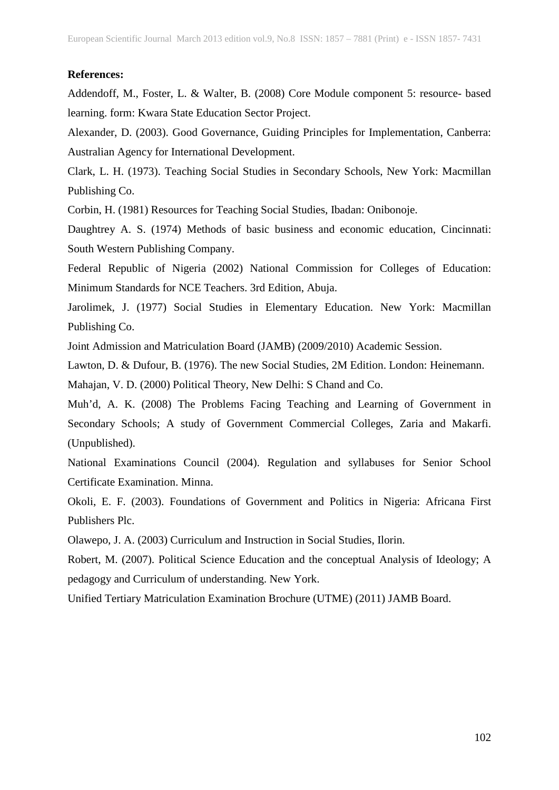#### **References:**

Addendoff, M., Foster, L. & Walter, B. (2008) Core Module component 5: resource- based learning. form: Kwara State Education Sector Project.

Alexander, D. (2003). Good Governance, Guiding Principles for Implementation, Canberra: Australian Agency for International Development.

Clark, L. H. (1973). Teaching Social Studies in Secondary Schools, New York: Macmillan Publishing Co.

Corbin, H. (1981) Resources for Teaching Social Studies, Ibadan: Onibonoje.

Daughtrey A. S. (1974) Methods of basic business and economic education, Cincinnati: South Western Publishing Company.

Federal Republic of Nigeria (2002) National Commission for Colleges of Education: Minimum Standards for NCE Teachers. 3rd Edition, Abuja.

Jarolimek, J. (1977) Social Studies in Elementary Education. New York: Macmillan Publishing Co.

Joint Admission and Matriculation Board (JAMB) (2009/2010) Academic Session.

Lawton, D. & Dufour, B. (1976). The new Social Studies, 2M Edition. London: Heinemann.

Mahajan, V. D. (2000) Political Theory, New Delhi: S Chand and Co.

Muh'd, A. K. (2008) The Problems Facing Teaching and Learning of Government in Secondary Schools; A study of Government Commercial Colleges, Zaria and Makarfi. (Unpublished).

National Examinations Council (2004). Regulation and syllabuses for Senior School Certificate Examination. Minna.

Okoli, E. F. (2003). Foundations of Government and Politics in Nigeria: Africana First Publishers Plc.

Olawepo, J. A. (2003) Curriculum and Instruction in Social Studies, Ilorin.

Robert, M. (2007). Political Science Education and the conceptual Analysis of Ideology; A pedagogy and Curriculum of understanding. New York.

Unified Tertiary Matriculation Examination Brochure (UTME) (2011) JAMB Board.